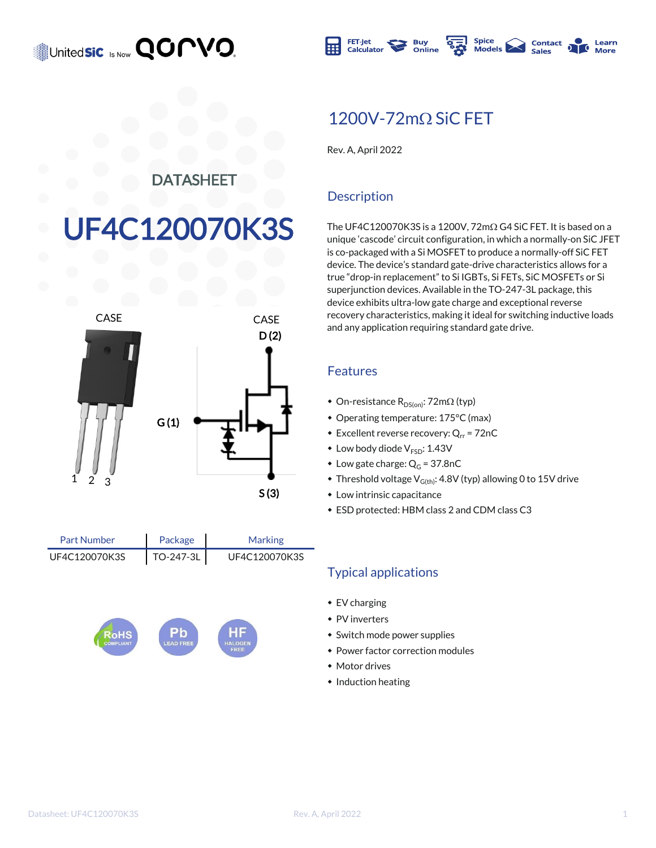### United**sic Is Now QOMVO**



### $1200V - 72m\Omega$  SiC FET

Rev. A, April 2022

#### DATASHEET

# F4C120070K3S



| <b>Part Number</b> | Package   | <b>Marking</b> |
|--------------------|-----------|----------------|
| UF4C120070K3S      | TO-247-3L | UF4C120070K3S  |



#### **Description**

The UF4C120070K3S is a 1200V,  $72 \text{m}\Omega$  G4 SiC FET. It is based on a unique 'cascode' circuit configuration, in which a normally-on SiC JFET is co-packaged with a Si MOSFET to produce a normally-off SiC FET device. The device's standard gate-drive characteristics allows for a true "drop-in replacement" to Si IGBTs, Si FETs, SiC MOSFETs or Si superjunction devices. Available in the TO-247-3L package, this device exhibits ultra-low gate charge and exceptional reverse recovery characteristics, making it ideal for switching inductive loads and any application requiring standard gate drive.

#### Features

- On-resistance  $R_{DS(on)}$ : 72m $\Omega$  (typ)
- Operating temperature: 175°C (max)
- $\bullet$  Excellent reverse recovery: Q<sub>rr</sub> = 72nC
- $\bullet$  Low body diode  $V_{ESD}$ : 1.43V
- Low gate charge:  $Q_G = 37.8nC$
- $\bullet$  Threshold voltage V<sub>G(th)</sub>: 4.8V (typ) allowing 0 to 15V drive
- $\bullet$  Low intrinsic capacitance
- $\bullet$  ESD protected: HBM class 2 and CDM class C3

#### Typical applications

- $\cdot$  EV charging
- $\bullet$  PV inverters
- Switch mode power supplies
- Power factor correction modules
- $*$  Motor drives
- $\bullet$  Induction heating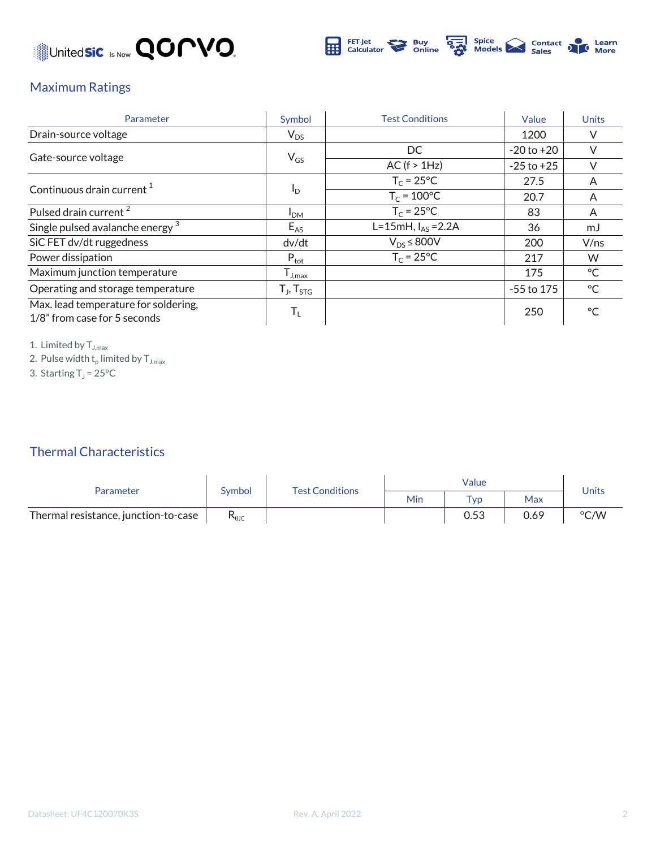



#### Maximum Ratings

| Parameter                                                            | Symbol              | <b>Test Conditions</b> | Value          | <b>Units</b> |
|----------------------------------------------------------------------|---------------------|------------------------|----------------|--------------|
| Drain-source voltage                                                 | $V_{DS}$            |                        | 1200           |              |
|                                                                      |                     | DC.                    | $-20$ to $+20$ |              |
| Gate-source voltage                                                  | $V_{GS}$            | AC (f > 1Hz)           | $-25$ to $+25$ |              |
|                                                                      |                     | $T_c = 25^{\circ}C$    | 27.5           | A            |
| Continuous drain current $1$                                         | $I_{\rm D}$         | $T_c = 100^{\circ}C$   | 20.7           | A            |
| Pulsed drain current <sup>2</sup>                                    | I <sub>DM</sub>     | $T_c = 25^{\circ}C$    | 83             | A            |
| Single pulsed avalanche energy <sup>3</sup>                          | $E_{AS}$            | L=15mH, $I_{AS}$ =2.2A | 36             | mJ           |
| SiC FET dv/dt ruggedness                                             | dv/dt               | $V_{DS}$ $\leq$ 800V   | 200            | V/ns         |
| Power dissipation                                                    | $P_{\text{tot}}$    | $T_c = 25^{\circ}C$    | 217            | W            |
| Maximum junction temperature                                         | $I_{J,max}$         |                        | 175            | °C           |
| Operating and storage temperature                                    | $T_{J}$ , $T_{STG}$ |                        | $-55$ to 175   | °C           |
| Max. lead temperature for soldering,<br>1/8" from case for 5 seconds | T,                  |                        | 250            | $^{\circ}$ C |

1. Limited by  $T_{J,max}$ 

2. Pulse width  $\mathsf{t}_\mathsf{p}$  limited by  $\mathsf{T}_{\mathsf{J},\mathsf{max}}$ 

3. Starting  $T_J = 25^{\circ}C$ 

#### Thermal Characteristics

| Parameter                            | Symbol             | <b>Test Conditions</b> | Value |                 |      |       |
|--------------------------------------|--------------------|------------------------|-------|-----------------|------|-------|
|                                      |                    |                        | Min   | T <sub>VD</sub> | Max  | Units |
| Thermal resistance, junction-to-case | $\mathsf{R}_{0$ jc |                        |       | 0.53            | 0.69 | °C/W  |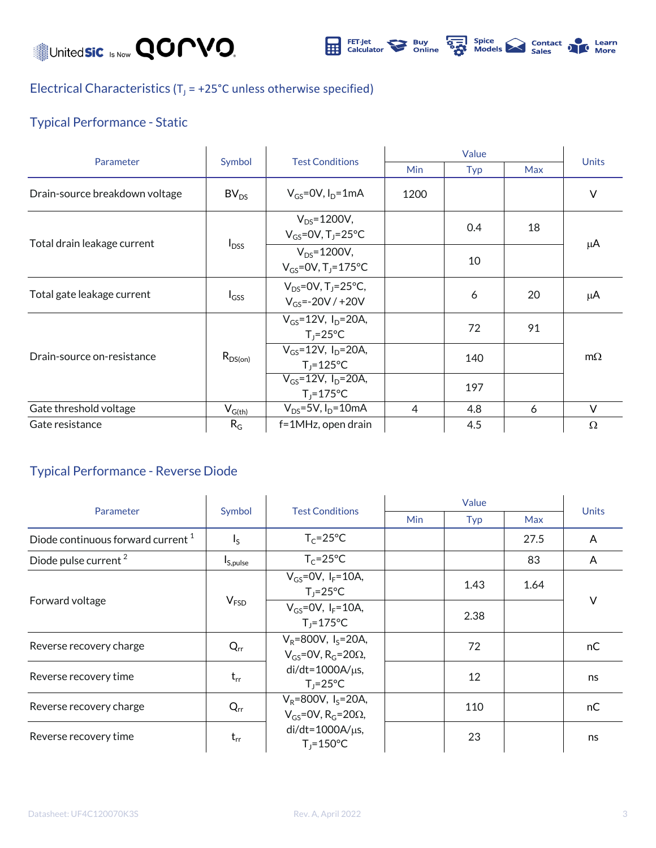Unitedsic Is Now **QOMVO** 



Electrical Characteristics ( $T_J$  = +25°C unless otherwise specified)

### Typical Performance - Static

|                                | Symbol           |                                                                 |                |     |            |              |
|--------------------------------|------------------|-----------------------------------------------------------------|----------------|-----|------------|--------------|
| Parameter                      |                  | <b>Test Conditions</b>                                          | <b>Min</b>     | Typ | <b>Max</b> | <b>Units</b> |
| Drain-source breakdown voltage | BV <sub>DS</sub> | $V_{GS}$ =0V, $I_D$ =1mA                                        | 1200           |     |            | $\vee$       |
| Total drain leakage current    | $I_{DSS}$        | $V_{DS} = 1200V,$<br>$V_{GS}$ =0V, T <sub>1</sub> =25°C         |                | 0.4 | 18         | μA           |
|                                |                  | $V_{DS} = 1200V,$<br>$V_{GS} = 0V$ , T <sub>1</sub> =175°C      |                | 10  |            |              |
| Total gate leakage current     | $I_{GSS}$        | $V_{DS} = 0V$ , T <sub>1</sub> =25°C,<br>$V_{GS} = -20V / +20V$ |                | 6   | 20         | μA           |
| Drain-source on-resistance     | $R_{DS(on)}$     | $V_{GS} = 12V$ , $I_{D} = 20A$ ,<br>$T_1 = 25^{\circ}C$         |                | 72  | 91         | $m\Omega$    |
|                                |                  | $V_{GS} = 12V$ , $I_{D} = 20A$ ,<br>$T_1 = 125$ °C              |                | 140 |            |              |
|                                |                  | $\overline{V_{GS}}$ =12V, $I_D$ =20A,<br>$T_1 = 175$ °C         |                | 197 |            |              |
| Gate threshold voltage         | $V_{G(th)}$      | $V_{DS} = 5V$ , $I_D = 10mA$                                    | $\overline{4}$ | 4.8 | 6          | $\vee$       |
| Gate resistance                | $R_G$            | f=1MHz, open drain                                              |                | 4.5 |            | $\Omega$     |

#### Typical Performance - Reverse Diode

| Parameter                                     | Symbol               | <b>Test Conditions</b>                                                             |            |      |      |              |
|-----------------------------------------------|----------------------|------------------------------------------------------------------------------------|------------|------|------|--------------|
|                                               |                      |                                                                                    | <b>Min</b> | Typ  | Max  | <b>Units</b> |
| Diode continuous forward current <sup>1</sup> | $I_{\sf S}$          | $T_c = 25$ °C                                                                      |            |      | 27.5 | A            |
| Diode pulse current <sup>2</sup>              | I <sub>S,pulse</sub> | $T_c = 25$ °C                                                                      |            |      | 83   | A            |
| Forward voltage                               | V <sub>FSD</sub>     | $V_{GS}$ =0V, $I_F$ =10A,<br>$T_i = 25^{\circ}C$                                   |            | 1.43 | 1.64 |              |
|                                               |                      | $V_{GS} = OV, I_F = 10A,$<br>$T_i = 175^{\circ}C$                                  |            | 2.38 |      | $\vee$       |
| Reverse recovery charge                       | $Q_{rr}$             | $V_R = 800V$ , I <sub>s</sub> =20A,<br>$V_{GS}$ =0V, R <sub>G</sub> =20 $\Omega$ , |            | 72   |      | nC.          |
| Reverse recovery time                         | $t_{rr}$             | $di/dt = 1000A/\mu s$ ,<br>$T_1 = 25^{\circ}C$                                     |            | 12   |      | ns           |
| Reverse recovery charge                       | $Q_{rr}$             | $V_R = 800V$ , I <sub>S</sub> =20A,<br>$V_{GS}$ =0V, R <sub>G</sub> =20 $\Omega$ , |            | 110  |      | nC           |
| Reverse recovery time                         | $t_{rr}$             | $di/dt = 1000A/\mu s$ ,<br>$T_i = 150^{\circ}C$                                    |            | 23   |      | ns           |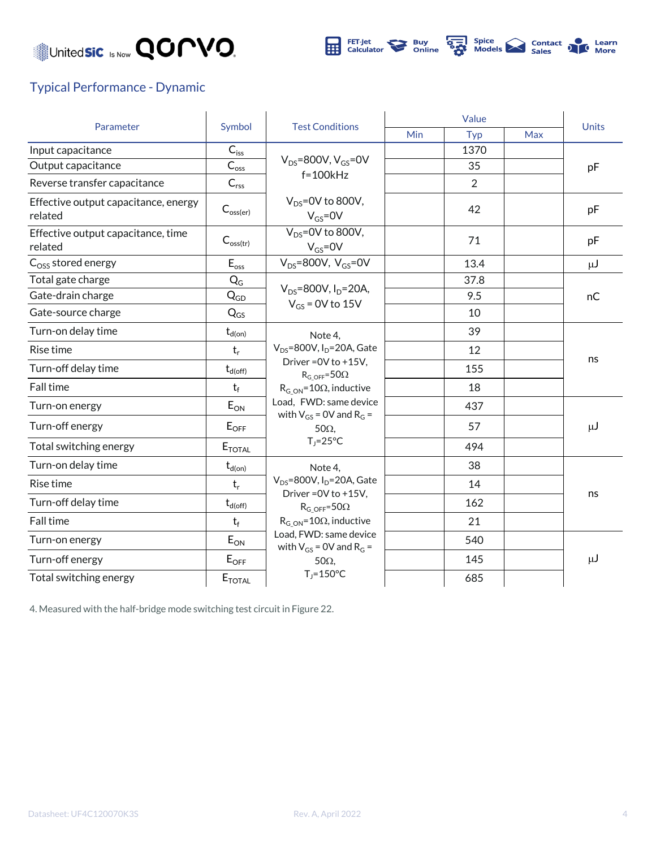## Unitedsic Is Now **QOMVO**



#### Typical Performance - Dynamic

|                                                 |                                     |                                                                                                                                                                                                      | Value      |                |            |              |
|-------------------------------------------------|-------------------------------------|------------------------------------------------------------------------------------------------------------------------------------------------------------------------------------------------------|------------|----------------|------------|--------------|
| Parameter                                       | Symbol                              | <b>Test Conditions</b>                                                                                                                                                                               | <b>Min</b> | Typ            | <b>Max</b> | <b>Units</b> |
| Input capacitance                               | $C_{iss}$                           |                                                                                                                                                                                                      |            | 1370           |            |              |
| Output capacitance                              | $C_{\rm{oss}}$                      | $V_{DS}$ =800V, $V_{GS}$ =0V<br>$f = 100kHz$                                                                                                                                                         |            | 35             |            | pF           |
| Reverse transfer capacitance                    | $C_{\text{rss}}$                    |                                                                                                                                                                                                      |            | $\overline{2}$ |            |              |
| Effective output capacitance, energy<br>related | $C_{\text{oss}(\text{er})}$         | $V_{DS}$ =0V to 800V,<br>$V_{GS} = 0V$                                                                                                                                                               |            | 42             |            | pF           |
| Effective output capacitance, time<br>related   | $C_{\text{oss(tr)}}$                | $V_{DS} = 0V$ to 800V,<br>$V_{GS} = 0V$                                                                                                                                                              |            | 71             |            | pF           |
| $C_{OSS}$ stored energy                         | $\mathsf{E}_{\mathsf{oss}}$         | $V_{DS}$ =800V, $V_{GS}$ =0V                                                                                                                                                                         |            | 13.4           |            | $\mu$ J      |
| Total gate charge                               | $Q_G$                               | $V_{DS} = 800V, I_D = 20A,$                                                                                                                                                                          |            | 37.8           |            |              |
| Gate-drain charge                               | $Q_{GD}$                            | $V_{GS}$ = 0V to 15V                                                                                                                                                                                 |            | 9.5            |            | nC           |
| Gate-source charge                              | $Q_{GS}$                            |                                                                                                                                                                                                      |            | 10             |            |              |
| Turn-on delay time                              | $t_{d(on)}$                         | Note 4.<br>$V_{DS}$ =800V, I <sub>D</sub> =20A, Gate<br>Driver = 0V to +15V,<br>$R_{G-OFF} = 50\Omega$                                                                                               |            | 39             |            | ns           |
| Rise time                                       | $t_r$                               |                                                                                                                                                                                                      |            | 12             |            |              |
| Turn-off delay time                             | $t_{d(off)}$                        |                                                                                                                                                                                                      |            | 155            |            |              |
| Fall time                                       | $t_f$                               | $R_{G ON} = 10\Omega$ , inductive                                                                                                                                                                    |            | 18             |            |              |
| Turn-on energy                                  | $E_{ON}$                            | Load, FWD: same device<br>with $V_{GS}$ = 0V and R <sub>G</sub> =<br>$50\Omega$                                                                                                                      |            | 437            |            | $\mu$ J      |
| Turn-off energy                                 | $E_{OFF}$                           |                                                                                                                                                                                                      |            | 57             |            |              |
| Total switching energy                          | <b>E</b> TOTAL                      | $T_i = 25^{\circ}C$                                                                                                                                                                                  |            | 494            |            |              |
| Turn-on delay time                              | $\mathrm{t}_{\text{d}( \text{on})}$ | Note 4,                                                                                                                                                                                              |            | 38             |            |              |
| Rise time                                       | $t_r$                               | $V_{DS}$ =800V, I <sub>D</sub> =20A, Gate<br>Driver = 0V to +15V,<br>$R_G$ off=50 $\Omega$<br>$R_{G ON} = 10\Omega$ , inductive<br>Load, FWD: same device<br>with $V_{GS}$ = 0V and R <sub>G</sub> = |            | 14             |            |              |
| Turn-off delay time                             | $t_{d(off)}$                        |                                                                                                                                                                                                      |            | 162            |            | ns           |
| Fall time                                       | $t_f$                               |                                                                                                                                                                                                      |            | 21             |            |              |
| Turn-on energy                                  | $E_{ON}$                            |                                                                                                                                                                                                      |            | 540            |            |              |
| Turn-off energy                                 | $E_{OFF}$                           | $50\Omega$                                                                                                                                                                                           |            | 145            |            | $\mu$ J      |
| Total switching energy                          | $E_{\text{TOTAL}}$                  | $T_i = 150^{\circ}C$                                                                                                                                                                                 |            | 685            |            |              |

4. Measured with the half-bridge mode switching test circuit in Figure 22.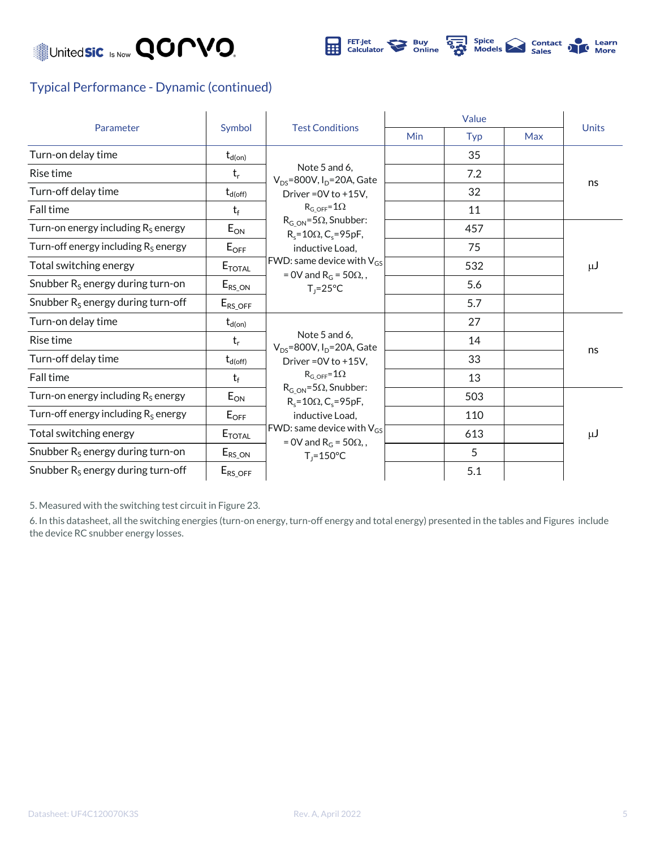



#### Typical Performance - Dynamic (continued)

| Parameter                              |                          |                                                                                                                                                                                                                         | Value |            |            |              |
|----------------------------------------|--------------------------|-------------------------------------------------------------------------------------------------------------------------------------------------------------------------------------------------------------------------|-------|------------|------------|--------------|
|                                        | Symbol                   | <b>Test Conditions</b>                                                                                                                                                                                                  | Min   | <b>Typ</b> | <b>Max</b> | <b>Units</b> |
| Turn-on delay time                     | $\mathsf{t}_{\sf d(on)}$ |                                                                                                                                                                                                                         |       | 35         |            | ns           |
| Rise time                              | $t_r$                    | Note 5 and 6.<br>$V_{DS}$ =800V, I <sub>D</sub> =20A, Gate                                                                                                                                                              |       | 7.2        |            |              |
| Turn-off delay time                    | $t_{d(off)}$             | Driver = 0V to +15V,                                                                                                                                                                                                    |       | 32         |            |              |
| <b>Fall time</b>                       | $t_f$                    | $RG OFF=1\Omega$                                                                                                                                                                                                        |       | 11         |            |              |
| Turn-on energy including $R_S$ energy  | $E_{ON}$                 | $R_{G ON} = 5\Omega$ , Snubber:<br>$R_s = 10\Omega$ , C <sub>s</sub> =95pF,                                                                                                                                             |       | 457        |            | $\mu$ J      |
| Turn-off energy including $R_s$ energy | $E_{OFF}$                | inductive Load,                                                                                                                                                                                                         |       | 75         |            |              |
| Total switching energy                 | $E_{\text{TOTAL}}$       | FWD: same device with $V_{GS}$<br>= 0V and $R_G$ = 50 $\Omega$ ,,<br>$T_1 = 25^{\circ}C$                                                                                                                                |       | 532        |            |              |
| Snubber $R_s$ energy during turn-on    | $E_{RS\_ON}$             |                                                                                                                                                                                                                         |       | 5.6        |            |              |
| Snubber $R_s$ energy during turn-off   | $E_{RS\_OFF}$            |                                                                                                                                                                                                                         |       | 5.7        |            |              |
| Turn-on delay time                     | $t_{d(on)}$              |                                                                                                                                                                                                                         |       | 27         |            | ns           |
| Rise time                              | $t_r$                    | Note 5 and 6,<br>$V_{DS}$ =800V, I <sub>D</sub> =20A, Gate                                                                                                                                                              |       | 14         |            |              |
| Turn-off delay time                    | $t_{d(off)}$             | Driver = 0V to +15V,                                                                                                                                                                                                    |       | 33         |            |              |
| <b>Fall time</b>                       | $t_f$                    | $RG OFF=1\Omega$<br>$R_{G ON} = 5\Omega$ , Snubber:<br>$R_s = 10\Omega$ , C <sub>s</sub> =95pF,<br>inductive Load,<br>FWD: same device with $V_{GS}$<br>= 0V and R <sub>G</sub> = 50 $\Omega$ ,<br>$T_1 = 150^{\circ}C$ |       | 13         |            |              |
| Turn-on energy including $R_s$ energy  | $E_{ON}$                 |                                                                                                                                                                                                                         |       | 503        |            |              |
| Turn-off energy including $R_s$ energy | $E_{OFF}$                |                                                                                                                                                                                                                         |       | 110        |            | $\mu$ J      |
| Total switching energy                 | $E_{\textnormal{total}}$ |                                                                                                                                                                                                                         |       | 613        |            |              |
| Snubber $R_s$ energy during turn-on    | $E_{RS\_ON}$             |                                                                                                                                                                                                                         |       | 5          |            |              |
| Snubber $R_s$ energy during turn-off   | $E_{RS\_OFF}$            |                                                                                                                                                                                                                         |       | 5.1        |            |              |

5. Measured with the switching test circuit in Figure 23.

6. In this datasheet, all the switching energies (turn-on energy, turn-off energy and total energy) presented in the tables and Figures include the device RC snubber energy losses.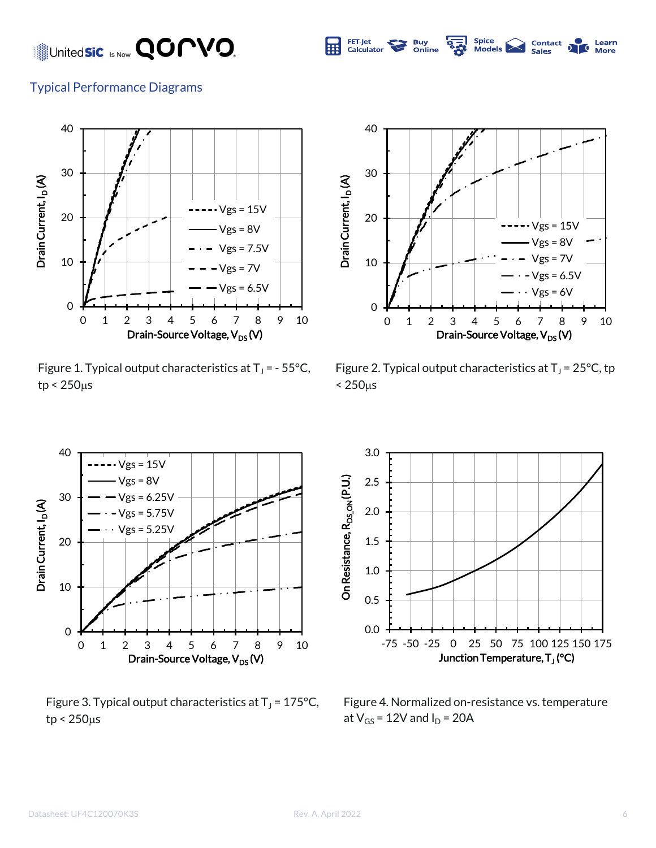### United**sic** Is Now **QOPVO.**



Learn

#### Typical Performance Diagrams



Figure 1. Typical output characteristics at  $T_J$  = - 55°C,  $tp < 250 \mu s$ 



Figure 2. Typical output characteristics at  $T_J$  = 25°C, tp  $< 250 \mu s$ 



Figure 3. Typical output characteristics at  $T_J$  = 175°C,  $tp < 250 \mu s$ 



Figure 4. Normalized on-resistance vs. temperature at  $V_{GS}$  = 12V and  $I_D$  = 20A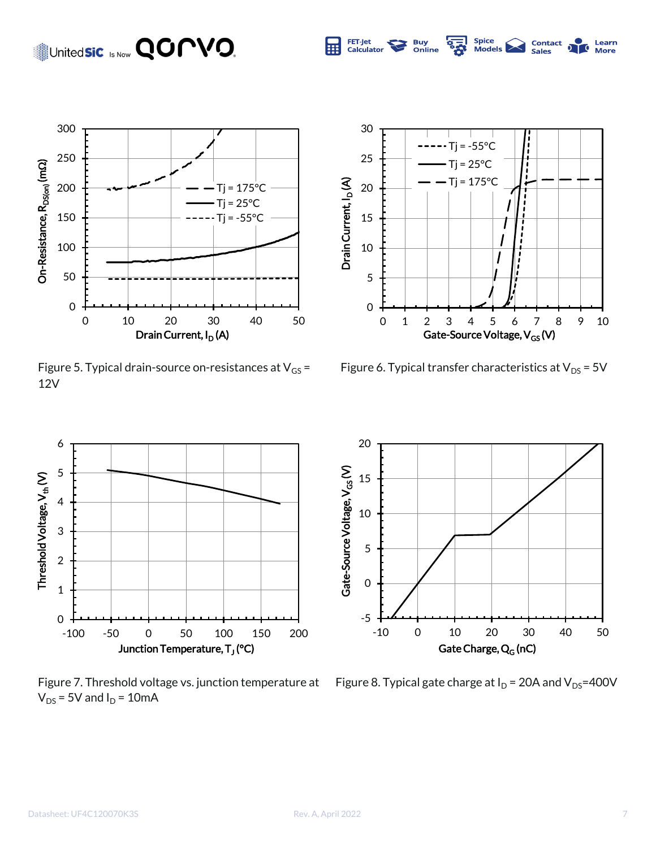## Unitedsic Is Now **QOPVO.**



Figure 5. Typical drain-source on-resistances at  $V_{GS}$  = 12V



Spice<br>Models

**Contact**<br>Sales

Learn **More** 

FET-Jet<br>Calculator

**Buy**<br>Online

 $\frac{1}{2}$ 

Figure 6. Typical transfer characteristics at  $V_{DS}$  = 5V



Figure 7. Threshold voltage vs. junction temperature at  $V_{DS}$  = 5V and  $I_D$  = 10mA



Figure 8. Typical gate charge at  $I_D$  = 20A and  $V_{DS}$ =400V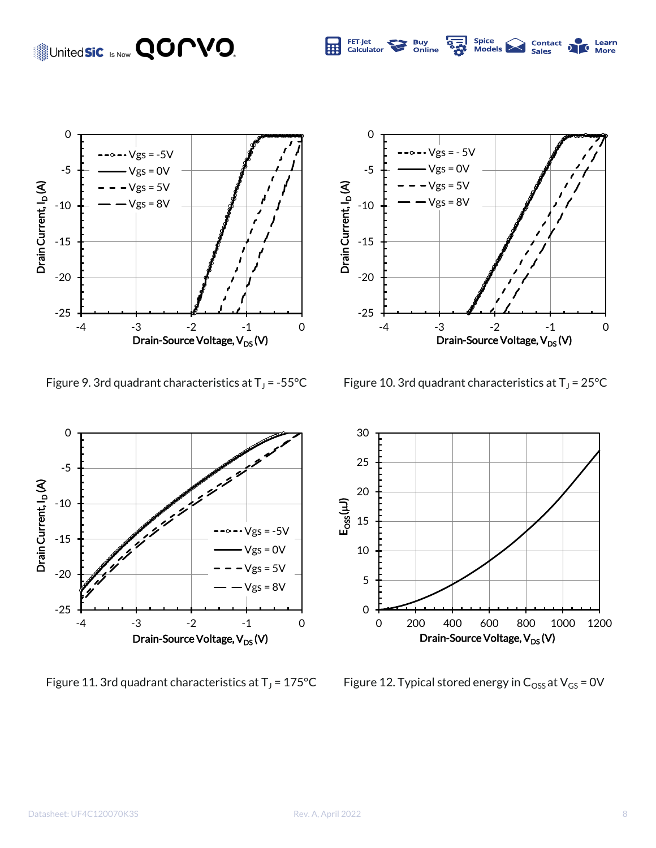## United**sic** Is Now **QOMVO**.



0  $\text{-} \vee$ gs = - 5 $\vee$ -5  $Vgs = 0V$  $Vgs = 5V$ Drain Current, I<sub>D</sub>(A) Drain Current, I<sub>D</sub> (A)  $Vgs = 8V$ -10 -15 -20 -25 -4 -3 -2 -1 0 Drain-Source Voltage, V<sub>DS</sub> (V)

Spice<br>Models

**Contact**<br>Sales

Learn

FET-Jet<br>Calculator

**Buy**<br>Online

Figure 9. 3rd quadrant characteristics at  $T_J$  = -55°C

Figure 10. 3rd quadrant characteristics at  $T_J$  = 25°C



Figure 11. 3rd quadrant characteristics at  $T_J$  = 175°C



Figure 12. Typical stored energy in  $C_{\text{OSS}}$  at  $V_{\text{GS}}$  = 0V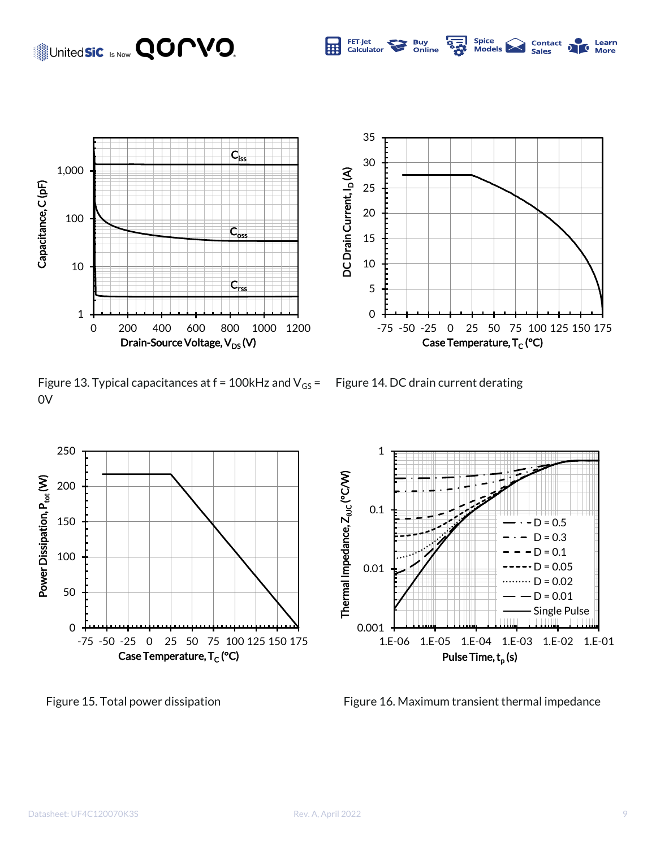### United**sic Is Now QOMVO.**



Figure 13. Typical capacitances at  $f = 100$ kHz and  $V_{GS} =$  Figure 14. DC drain current derating 0V



0

5

10

15

20

DC Drain Current, I<sub>D</sub> (A)

DC Drain Current, I<sub>D</sub>(A)

25

30

35

FET-Jet<br>Calculator

**Buy**<br>Online





-75 -50 -25 0 25 50 75 100 125 150 175

Spice<br>Models |

**Contact**<br>Sales

Learn

Case Temperature, T<sub>C</sub> (°C)

Figure 15. Total power dissipation Figure 16. Maximum transient thermal impedance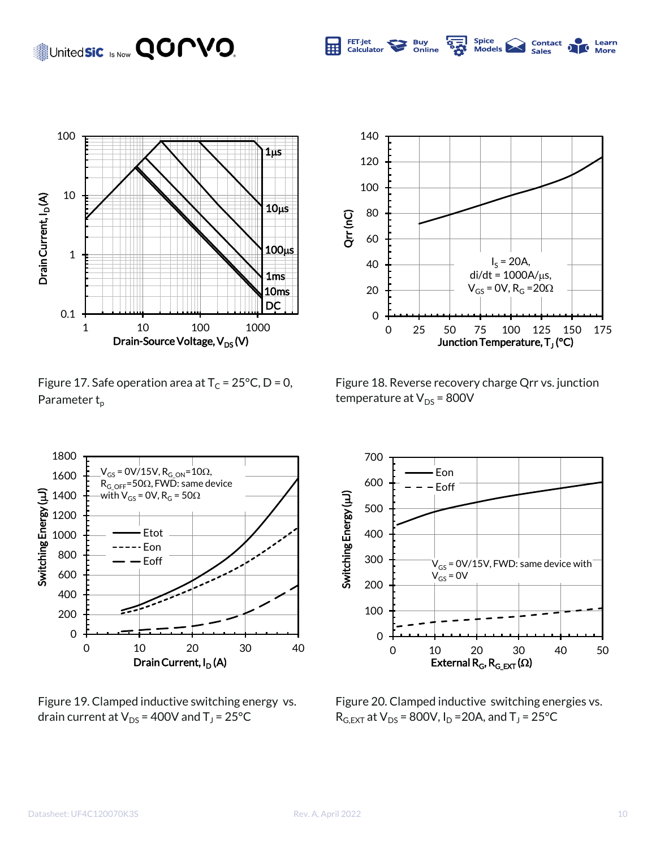### United**sic** Is Now **QOPVO.**



Figure 17. Safe operation area at  $T_c = 25^{\circ}C$ , D = 0, Parameter t<sub>p</sub>



Spice<br>Models

**Contact**<br>Sales

Learn

**More** 

FET-Jet

Calculator

**Buy**<br>Online

 $\frac{1}{2}$ 

Figure 18. Reverse recovery charge Qrr vs. junction temperature at  $V_{DS}$  = 800V



Figure 19. Clamped inductive switching energy vs. drain current at  $\mathsf{V}_\mathsf{DS}$  = 400V and T $_\mathsf{J}$  = 25°C



Figure 20. Clamped inductive switching energies vs.  $R_{G,EXT}$  at  $V_{DS}$  = 800V, I<sub>D</sub> = 20A, and T<sub>J</sub> = 25°C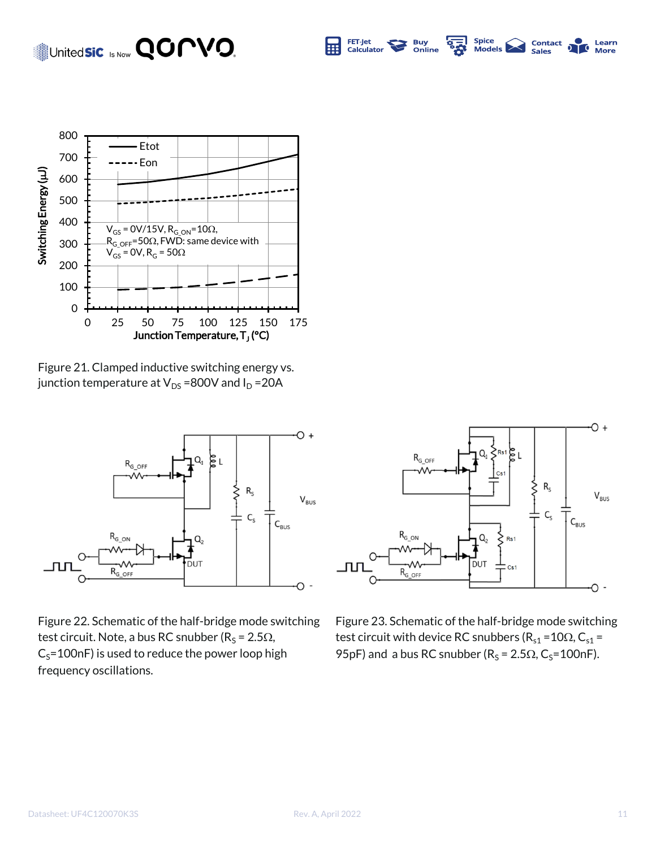#### Spice<br>Models United**sic** Is Now **QOMVO** FET-Jet **Buy**<br>Online Contact  $\frac{1}{2}$ Learn Ō Calculator **Sales More**



Figure 21. Clamped inductive switching energy vs. junction temperature at  $V_{DS}$  =800V and  $I_D$  =20A



Figure 22. Schematic of the half-bridge mode switching test circuit. Note, a bus RC snubber (R<sub>S</sub> = 2.5 $\Omega$ ,  $C_S$ =100nF) is used to reduce the power loop high frequency oscillations.



Figure 23. Schematic of the half-bridge mode switching test circuit with device RC snubbers ( $R_{s1}$  = 10 $\Omega$ , C<sub>s1</sub> = 95pF) and a bus RC snubber ( $R_s = 2.5\Omega$ , C<sub>s</sub>=100nF).